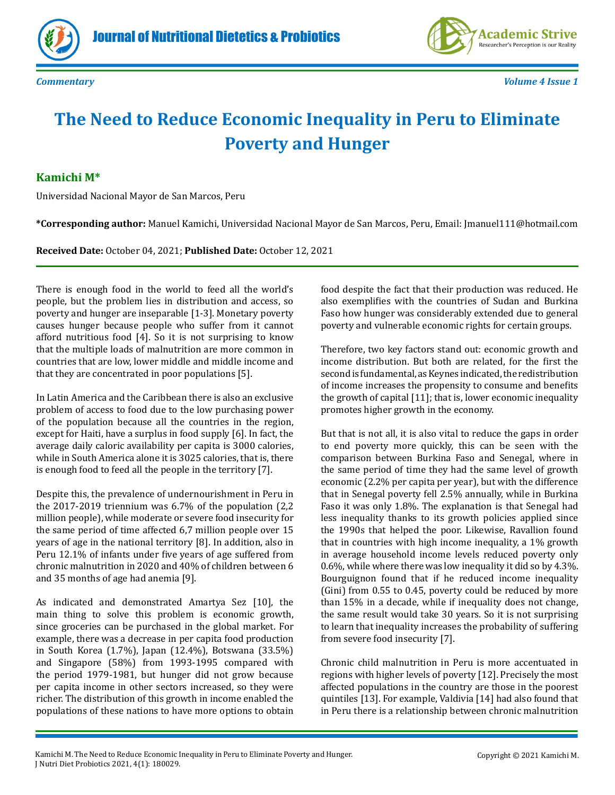





*Commentary Volume 4 Issue 1*

## **The Need to Reduce Economic Inequality in Peru to Eliminate Poverty and Hunger**

## **Kamichi M\***

Universidad Nacional Mayor de San Marcos, Peru

**\*Corresponding author:** Manuel Kamichi, Universidad Nacional Mayor de San Marcos, Peru, Email: Jmanuel111@hotmail.com

**Received Date:** October 04, 2021; **Published Date:** October 12, 2021

There is enough food in the world to feed all the world's people, but the problem lies in distribution and access, so poverty and hunger are inseparable [1-3]. Monetary poverty causes hunger because people who suffer from it cannot afford nutritious food [4]. So it is not surprising to know that the multiple loads of malnutrition are more common in countries that are low, lower middle and middle income and that they are concentrated in poor populations [5].

In Latin America and the Caribbean there is also an exclusive problem of access to food due to the low purchasing power of the population because all the countries in the region, except for Haiti, have a surplus in food supply [6]. In fact, the average daily caloric availability per capita is 3000 calories, while in South America alone it is 3025 calories, that is, there is enough food to feed all the people in the territory [7].

Despite this, the prevalence of undernourishment in Peru in the 2017-2019 triennium was 6.7% of the population (2,2 million people), while moderate or severe food insecurity for the same period of time affected 6,7 million people over 15 years of age in the national territory [8]. In addition, also in Peru 12.1% of infants under five years of age suffered from chronic malnutrition in 2020 and 40% of children between 6 and 35 months of age had anemia [9].

As indicated and demonstrated Amartya Sez [10], the main thing to solve this problem is economic growth, since groceries can be purchased in the global market. For example, there was a decrease in per capita food production in South Korea (1.7%), Japan (12.4%), Botswana (33.5%) and Singapore (58%) from 1993-1995 compared with the period 1979-1981, but hunger did not grow because per capita income in other sectors increased, so they were richer. The distribution of this growth in income enabled the populations of these nations to have more options to obtain food despite the fact that their production was reduced. He also exemplifies with the countries of Sudan and Burkina Faso how hunger was considerably extended due to general poverty and vulnerable economic rights for certain groups.

Therefore, two key factors stand out: economic growth and income distribution. But both are related, for the first the second is fundamental, as Keynes indicated, the redistribution of income increases the propensity to consume and benefits the growth of capital [11]; that is, lower economic inequality promotes higher growth in the economy.

But that is not all, it is also vital to reduce the gaps in order to end poverty more quickly, this can be seen with the comparison between Burkina Faso and Senegal, where in the same period of time they had the same level of growth economic (2.2% per capita per year), but with the difference that in Senegal poverty fell 2.5% annually, while in Burkina Faso it was only 1.8%. The explanation is that Senegal had less inequality thanks to its growth policies applied since the 1990s that helped the poor. Likewise, Ravallion found that in countries with high income inequality, a 1% growth in average household income levels reduced poverty only 0.6%, while where there was low inequality it did so by 4.3%. Bourguignon found that if he reduced income inequality (Gini) from 0.55 to 0.45, poverty could be reduced by more than 15% in a decade, while if inequality does not change, the same result would take 30 years. So it is not surprising to learn that inequality increases the probability of suffering from severe food insecurity [7].

Chronic child malnutrition in Peru is more accentuated in regions with higher levels of poverty [12]. Precisely the most affected populations in the country are those in the poorest quintiles [13]. For example, Valdivia [14] had also found that in Peru there is a relationship between chronic malnutrition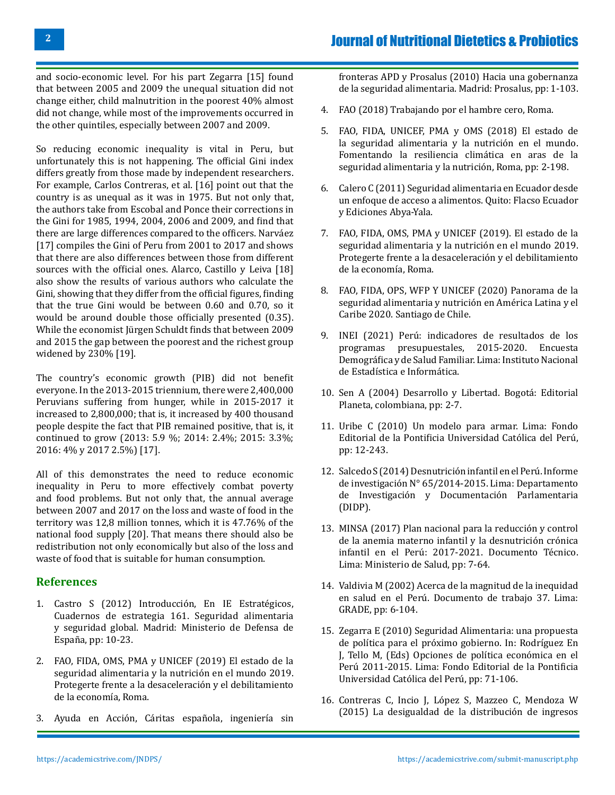and socio-economic level. For his part Zegarra [15] found that between 2005 and 2009 the unequal situation did not change either, child malnutrition in the poorest 40% almost did not change, while most of the improvements occurred in the other quintiles, especially between 2007 and 2009.

So reducing economic inequality is vital in Peru, but unfortunately this is not happening. The official Gini index differs greatly from those made by independent researchers. For example, Carlos Contreras, et al. [16] point out that the country is as unequal as it was in 1975. But not only that, the authors take from Escobal and Ponce their corrections in the Gini for 1985, 1994, 2004, 2006 and 2009, and find that there are large differences compared to the officers. Narváez [17] compiles the Gini of Peru from 2001 to 2017 and shows that there are also differences between those from different sources with the official ones. Alarco, Castillo y Leiva [18] also show the results of various authors who calculate the Gini, showing that they differ from the official figures, finding that the true Gini would be between 0.60 and 0.70, so it would be around double those officially presented (0.35). While the economist Jürgen Schuldt finds that between 2009 and 2015 the gap between the poorest and the richest group widened by 230% [19].

The country's economic growth (PIB) did not benefit everyone. In the 2013-2015 triennium, there were 2,400,000 Peruvians suffering from hunger, while in 2015-2017 it increased to 2,800,000; that is, it increased by 400 thousand people despite the fact that PIB remained positive, that is, it continued to grow (2013: 5.9 %; 2014: 2.4%; 2015: 3.3%; 2016: 4% y 2017 2.5%) [17].

All of this demonstrates the need to reduce economic inequality in Peru to more effectively combat poverty and food problems. But not only that, the annual average between 2007 and 2017 on the loss and waste of food in the territory was 12,8 million tonnes, which it is 47.76% of the national food supply [20]. That means there should also be redistribution not only economically but also of the loss and waste of food that is suitable for human consumption.

## **References**

- 1. Castro S (2012) Introducción, En IE Estratégicos, Cuadernos de estrategia 161. Seguridad alimentaria y seguridad global. Madrid: Ministerio de Defensa de España, pp: 10-23.
- 2. [FAO, FIDA, OMS, PMA y UNICEF \(2019\) El estado de la](http://www.fao.org/publications/card/en/c/CA5162ES/) [seguridad alimentaria y la nutrición en el mundo 2019.](http://www.fao.org/publications/card/en/c/CA5162ES/) [Protegerte frente a la desaceleración y el debilitamiento](http://www.fao.org/publications/card/en/c/CA5162ES/) [de la economía, Roma.](http://www.fao.org/publications/card/en/c/CA5162ES/)
- 3. [Ayuda en Acción, Cáritas española, ingeniería sin](https://derechoalimentacion.org/sites/default/files/pdf-documentos/Hacia_una_nueva_gobernanza_de_la_seguridad_alimentaria.pdf)

[fronteras APD y Prosalus \(2010\) Hacia una gobernanza](https://derechoalimentacion.org/sites/default/files/pdf-documentos/Hacia_una_nueva_gobernanza_de_la_seguridad_alimentaria.pdf)  [de la seguridad alimentaria. Madrid: Prosalus, pp: 1-103.](https://derechoalimentacion.org/sites/default/files/pdf-documentos/Hacia_una_nueva_gobernanza_de_la_seguridad_alimentaria.pdf)

- 4. [FAO \(2018\) Trabajando por el hambre cero, Roma.](http://www.fao.org/3/i9420es/I9420ES.pdf)
- 5. [FAO, FIDA, UNICEF, PMA y OMS \(2018\) El estado de](http://www.fao.org/3/i9553es/i9553es.pdf)  [la seguridad alimentaria y la nutrición en el mundo.](http://www.fao.org/3/i9553es/i9553es.pdf)  [Fomentando la resiliencia climática en aras de la](http://www.fao.org/3/i9553es/i9553es.pdf)  [seguridad alimentaria y la nutrición, Roma, pp: 2-198.](http://www.fao.org/3/i9553es/i9553es.pdf)
- 6. [Calero C \(2011\) Seguridad alimentaria en Ecuador desde](https://biblio.flacsoandes.edu.ec/catalog/resGet.php?resId=52065) [un enfoque de acceso a alimentos. Quito: Flacso Ecuador](https://biblio.flacsoandes.edu.ec/catalog/resGet.php?resId=52065) [y Ediciones Abya-Yala.](https://biblio.flacsoandes.edu.ec/catalog/resGet.php?resId=52065)
- 7. [FAO, FIDA, OMS, PMA y UNICEF \(2019\). El estado de la](http://www.fao.org/publications/card/en/c/CA5162ES/)  [seguridad alimentaria y la nutrición en el mundo 2019.](http://www.fao.org/publications/card/en/c/CA5162ES/) [Protegerte frente a la desaceleración y el debilitamiento](http://www.fao.org/publications/card/en/c/CA5162ES/)  [de la economía, Roma.](http://www.fao.org/publications/card/en/c/CA5162ES/)
- 8. [FAO, FIDA, OPS, WFP Y UNICEF \(2020\) Panorama de la](http://www.fao.org/documents/card/en/c/cb2242es)  [seguridad alimentaria y nutrición en América Latina y el](http://www.fao.org/documents/card/en/c/cb2242es) [Caribe 2020. Santiago de Chile.](http://www.fao.org/documents/card/en/c/cb2242es)
- 9. [INEI \(2021\) Perú: indicadores de resultados de los](https://proyectos.inei.gob.pe/endes/2020/ppr/Indicadores_de_Resultados_de_los_Programas_Presupuestales_ENDES_2020.pdf)  [programas presupuestales, 2015-2020. Encuesta](https://proyectos.inei.gob.pe/endes/2020/ppr/Indicadores_de_Resultados_de_los_Programas_Presupuestales_ENDES_2020.pdf)  [Demográfica y de Salud Familiar. Lima: Instituto Nacional](https://proyectos.inei.gob.pe/endes/2020/ppr/Indicadores_de_Resultados_de_los_Programas_Presupuestales_ENDES_2020.pdf)  [de Estadística e Informática.](https://proyectos.inei.gob.pe/endes/2020/ppr/Indicadores_de_Resultados_de_los_Programas_Presupuestales_ENDES_2020.pdf)
- 10. [Sen A \(2004\) Desarrollo y Libertad. Bogotá: Editorial](https://www.palermo.edu/Archivos_content/2015/derecho/pobreza_multidimensional/bibliografia/Sesion1_doc1.pdf) [Planeta, colombiana, pp: 2-7.](https://www.palermo.edu/Archivos_content/2015/derecho/pobreza_multidimensional/bibliografia/Sesion1_doc1.pdf)
- 11. [Uribe C \(2010\) Un modelo para armar. Lima: Fondo](https://repositorio.pucp.edu.pe/index/bitstream/handle/123456789/174267/Un%20modelo%20para%20armar.pdf?sequence=1) [Editorial de la Pontificia Universidad Católica del Perú,](https://repositorio.pucp.edu.pe/index/bitstream/handle/123456789/174267/Un%20modelo%20para%20armar.pdf?sequence=1) [pp: 12-243.](https://repositorio.pucp.edu.pe/index/bitstream/handle/123456789/174267/Un%20modelo%20para%20armar.pdf?sequence=1)
- 12. Salcedo S (2014) Desnutrición infantil en el Perú. Informe de investigación N° 65/2014-2015. Lima: Departamento de Investigación y Documentación Parlamentaria (DIDP).
- 13. [MINSA \(2017\) Plan nacional para la reducción y control](http://bvs.minsa.gob.pe/local/MINSA/4189.pdf)  [de la anemia materno infantil y la desnutrición crónica](http://bvs.minsa.gob.pe/local/MINSA/4189.pdf) [infantil en el Perú: 2017-2021. Documento Técnico.](http://bvs.minsa.gob.pe/local/MINSA/4189.pdf) [Lima: Ministerio de Salud, pp: 7-64.](http://bvs.minsa.gob.pe/local/MINSA/4189.pdf)
- 14. [Valdivia M \(2002\) Acerca de la magnitud de la inequidad](https://www.mef.gob.pe/contenidos/pol_econ/documentos/Acceso_de_la_salud_en_el_peru_grade.pdf) [en salud en el Perú. Documento de trabajo 37. Lima:](https://www.mef.gob.pe/contenidos/pol_econ/documentos/Acceso_de_la_salud_en_el_peru_grade.pdf) [GRADE, pp: 6-104.](https://www.mef.gob.pe/contenidos/pol_econ/documentos/Acceso_de_la_salud_en_el_peru_grade.pdf)
- 15. [Zegarra E \(2010\) Seguridad Alimentaria: una propuesta](http://files.pucp.edu.pe/departamento/economia/LDE-2010-04-04.pdf)  [de política para el próximo gobierno. In: Rodríguez En](http://files.pucp.edu.pe/departamento/economia/LDE-2010-04-04.pdf)  [J, Tello M, \(Eds\) Opciones de política económica en el](http://files.pucp.edu.pe/departamento/economia/LDE-2010-04-04.pdf)  [Perú 2011-2015. Lima: Fondo Editorial de la Pontificia](http://files.pucp.edu.pe/departamento/economia/LDE-2010-04-04.pdf) [Universidad Católica del Perú, pp: 71-106.](http://files.pucp.edu.pe/departamento/economia/LDE-2010-04-04.pdf)
- 16. [Contreras C, Incio J, López S, Mazzeo C, Mendoza W](https://repositorio.pucp.edu.pe/index/handle/123456789/173124)  [\(2015\) La desigualdad de la distribución de ingresos](https://repositorio.pucp.edu.pe/index/handle/123456789/173124)